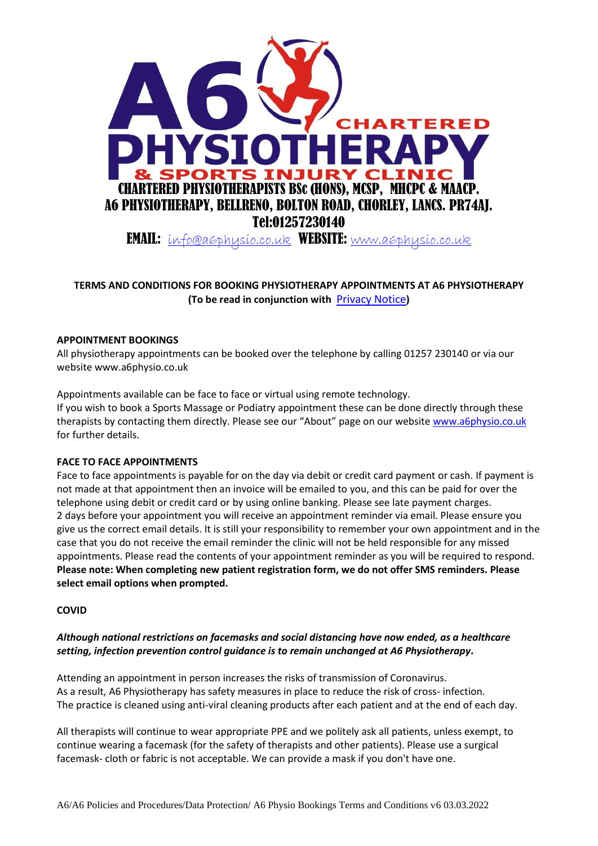

# **TERMS AND CONDITIONS FOR BOOKING PHYSIOTHERAPY APPOINTMENTS AT A6 PHYSIOTHERAPY (To be read in conjunction with** [Privacy Notice](https://a6physio.co.uk/wp-content/uploads/2022/03/Privacy-Notice.pdf)**)**

# **APPOINTMENT BOOKINGS**

All physiotherapy appointments can be booked over the telephone by calling 01257 230140 or via our website www.a6physio.co.uk

Appointments available can be face to face or virtual using remote technology.

If you wish to book a Sports Massage or Podiatry appointment these can be done directly through these therapists by contacting them directly. Please see our "About" page on our website [www.a6physio.co.uk](http://www.a6physio.co.uk/) for further details.

#### **FACE TO FACE APPOINTMENTS**

Face to face appointments is payable for on the day via debit or credit card payment or cash. If payment is not made at that appointment then an invoice will be emailed to you, and this can be paid for over the telephone using debit or credit card or by using online banking. Please see late payment charges. 2 days before your appointment you will receive an appointment reminder via email. Please ensure you give us the correct email details. It is still your responsibility to remember your own appointment and in the case that you do not receive the email reminder the clinic will not be held responsible for any missed appointments. Please read the contents of your appointment reminder as you will be required to respond. **Please note: When completing new patient registration form, we do not offer SMS reminders. Please select email options when prompted.**

# **COVID**

# *Although national restrictions on facemasks and social distancing have now ended, as a healthcare setting, infection prevention control guidance is to remain unchanged at A6 Physiotherapy.*

Attending an appointment in person increases the risks of transmission of Coronavirus. As a result, A6 Physiotherapy has safety measures in place to reduce the risk of cross- infection. The practice is cleaned using anti-viral cleaning products after each patient and at the end of each day.

All therapists will continue to wear appropriate PPE and we politely ask all patients, unless exempt, to continue wearing a facemask (for the safety of therapists and other patients). Please use a surgical facemask- cloth or fabric is not acceptable. We can provide a mask if you don't have one.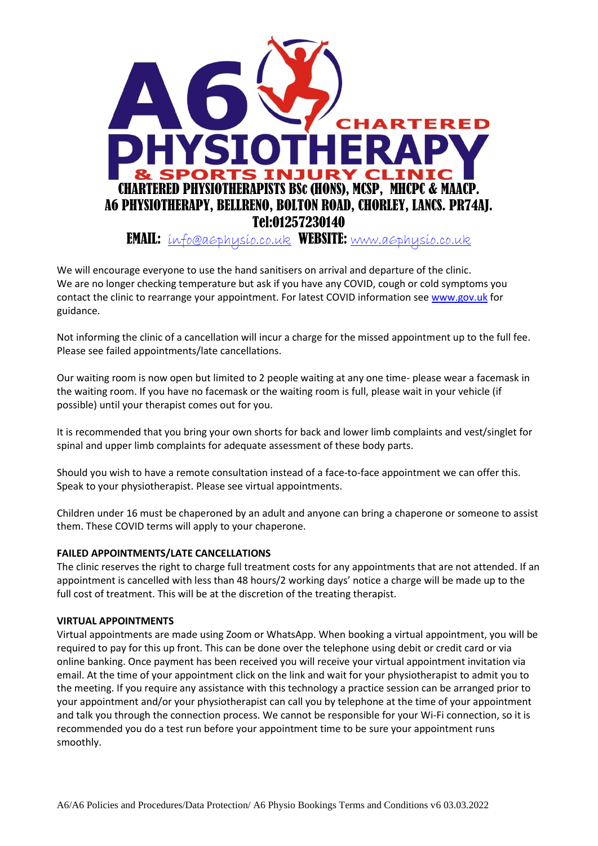

We will encourage everyone to use the hand sanitisers on arrival and departure of the clinic. We are no longer checking temperature but ask if you have any COVID, cough or cold symptoms you contact the clinic to rearrange your appointment. For latest COVID information see [www.gov.uk](http://www.gov.uk/) for guidance.

Not informing the clinic of a cancellation will incur a charge for the missed appointment up to the full fee. Please see failed appointments/late cancellations.

Our waiting room is now open but limited to 2 people waiting at any one time- please wear a facemask in the waiting room. If you have no facemask or the waiting room is full, please wait in your vehicle (if possible) until your therapist comes out for you.

It is recommended that you bring your own shorts for back and lower limb complaints and vest/singlet for spinal and upper limb complaints for adequate assessment of these body parts.

Should you wish to have a remote consultation instead of a face-to-face appointment we can offer this. Speak to your physiotherapist. Please see virtual appointments.

Children under 16 must be chaperoned by an adult and anyone can bring a chaperone or someone to assist them. These COVID terms will apply to your chaperone.

# **FAILED APPOINTMENTS/LATE CANCELLATIONS**

The clinic reserves the right to charge full treatment costs for any appointments that are not attended. If an appointment is cancelled with less than 48 hours/2 working days' notice a charge will be made up to the full cost of treatment. This will be at the discretion of the treating therapist.

#### **VIRTUAL APPOINTMENTS**

Virtual appointments are made using Zoom or WhatsApp. When booking a virtual appointment, you will be required to pay for this up front. This can be done over the telephone using debit or credit card or via online banking. Once payment has been received you will receive your virtual appointment invitation via email. At the time of your appointment click on the link and wait for your physiotherapist to admit you to the meeting. If you require any assistance with this technology a practice session can be arranged prior to your appointment and/or your physiotherapist can call you by telephone at the time of your appointment and talk you through the connection process. We cannot be responsible for your Wi-Fi connection, so it is recommended you do a test run before your appointment time to be sure your appointment runs smoothly.